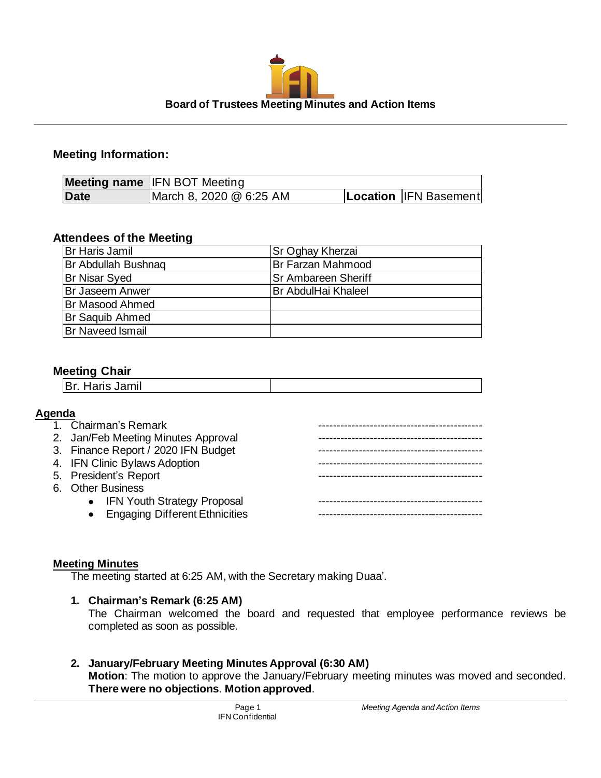

# **Meeting Information:**

|      | <b>Meeting name IFN BOT Meeting</b> |                       |
|------|-------------------------------------|-----------------------|
| Date | March 8, 2020 @ 6:25 AM             | Location IFN Basement |

## **Attendees of the Meeting**

| Br Haris Jamil          | <b>Sr Oghay Kherzai</b>     |
|-------------------------|-----------------------------|
| Br Abdullah Bushnag     | Br Farzan Mahmood           |
| <b>Br Nisar Syed</b>    | <b>Sr Ambareen Sheriff</b>  |
| <b>Br Jaseem Anwer</b>  | <b>IBr AbdulHai Khaleel</b> |
| Br Masood Ahmed         |                             |
| <b>Br Saquib Ahmed</b>  |                             |
| <b>Br Naveed Ismail</b> |                             |

# **Meeting Chair**

| $-$<br>.<br>וויוו <b>שט טווויוויווי</b> ווי |  |  |
|---------------------------------------------|--|--|
|                                             |  |  |

## **Agenda**

| 1. Chairman's Remark                |  |
|-------------------------------------|--|
| 2. Jan/Feb Meeting Minutes Approval |  |
| 3. Finance Report / 2020 IFN Budget |  |
| 4. IFN Clinic Bylaws Adoption       |  |
| 5. President's Report               |  |
| 6. Other Business                   |  |
| • IFN Youth Strategy Proposal       |  |
| • Engaging Different Ethnicities    |  |
|                                     |  |

## **Meeting Minutes**

The meeting started at 6:25 AM, with the Secretary making Duaa'.

## **1. Chairman's Remark (6:25 AM)**

The Chairman welcomed the board and requested that employee performance reviews be completed as soon as possible.

#### **2. January/February Meeting Minutes Approval (6:30 AM) Motion**: The motion to approve the January/February meeting minutes was moved and seconded. **There were no objections**. **Motion approved**.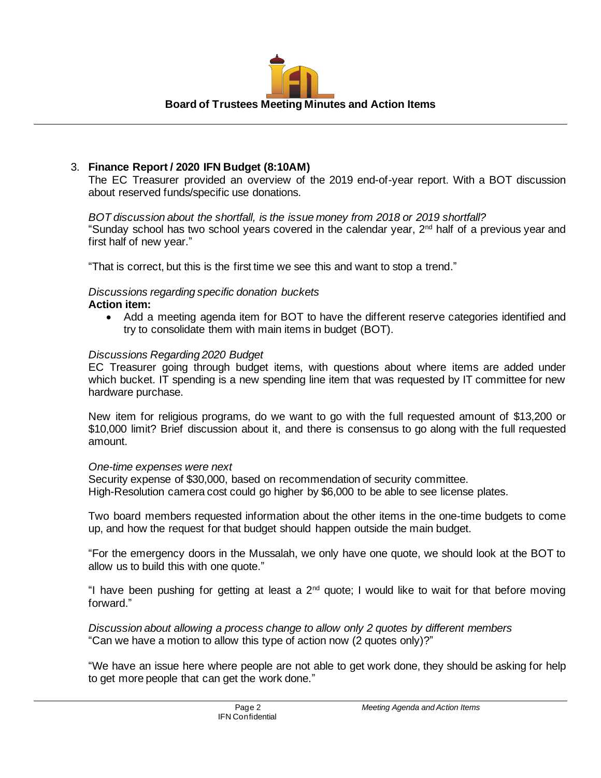

# 3. **Finance Report / 2020 IFN Budget (8:10AM)**

The EC Treasurer provided an overview of the 2019 end-of-year report. With a BOT discussion about reserved funds/specific use donations.

*BOT discussion about the shortfall, is the issue money from 2018 or 2019 shortfall?*  "Sunday school has two school years covered in the calendar year, 2nd half of a previous year and first half of new year."

"That is correct, but this is the first time we see this and want to stop a trend."

*Discussions regarding specific donation buckets*

## **Action item:**

• Add a meeting agenda item for BOT to have the different reserve categories identified and try to consolidate them with main items in budget (BOT).

## *Discussions Regarding 2020 Budget*

EC Treasurer going through budget items, with questions about where items are added under which bucket. IT spending is a new spending line item that was requested by IT committee for new hardware purchase.

New item for religious programs, do we want to go with the full requested amount of \$13,200 or \$10,000 limit? Brief discussion about it, and there is consensus to go along with the full requested amount.

## *One-time expenses were next*

Security expense of \$30,000, based on recommendation of security committee. High-Resolution camera cost could go higher by \$6,000 to be able to see license plates.

Two board members requested information about the other items in the one-time budgets to come up, and how the request for that budget should happen outside the main budget.

"For the emergency doors in the Mussalah, we only have one quote, we should look at the BOT to allow us to build this with one quote."

"I have been pushing for getting at least a 2nd quote; I would like to wait for that before moving forward."

*Discussion about allowing a process change to allow only 2 quotes by different members* "Can we have a motion to allow this type of action now (2 quotes only)?"

"We have an issue here where people are not able to get work done, they should be asking for help to get more people that can get the work done."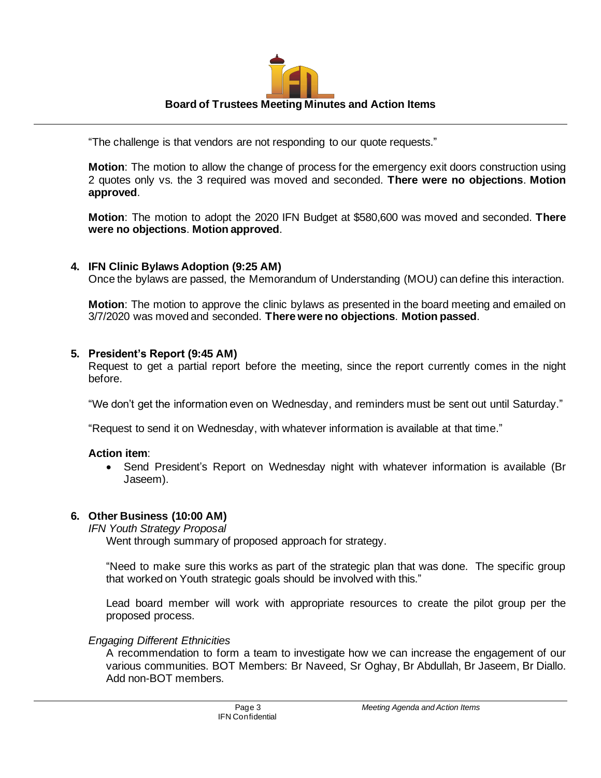

"The challenge is that vendors are not responding to our quote requests."

**Motion**: The motion to allow the change of process for the emergency exit doors construction using 2 quotes only vs. the 3 required was moved and seconded. **There were no objections**. **Motion approved**.

**Motion**: The motion to adopt the 2020 IFN Budget at \$580,600 was moved and seconded. **There were no objections**. **Motion approved**.

## **4. IFN Clinic Bylaws Adoption (9:25 AM)**

Once the bylaws are passed, the Memorandum of Understanding (MOU) can define this interaction.

**Motion**: The motion to approve the clinic bylaws as presented in the board meeting and emailed on 3/7/2020 was moved and seconded. **There were no objections**. **Motion passed**.

#### **5. President's Report (9:45 AM)**

Request to get a partial report before the meeting, since the report currently comes in the night before.

"We don't get the information even on Wednesday, and reminders must be sent out until Saturday."

"Request to send it on Wednesday, with whatever information is available at that time."

#### **Action item**:

• Send President's Report on Wednesday night with whatever information is available (Br Jaseem).

## **6. Other Business (10:00 AM)**

#### *IFN Youth Strategy Proposal*

Went through summary of proposed approach for strategy.

"Need to make sure this works as part of the strategic plan that was done. The specific group that worked on Youth strategic goals should be involved with this."

Lead board member will work with appropriate resources to create the pilot group per the proposed process.

## *Engaging Different Ethnicities*

A recommendation to form a team to investigate how we can increase the engagement of our various communities. BOT Members: Br Naveed, Sr Oghay, Br Abdullah, Br Jaseem, Br Diallo. Add non-BOT members.